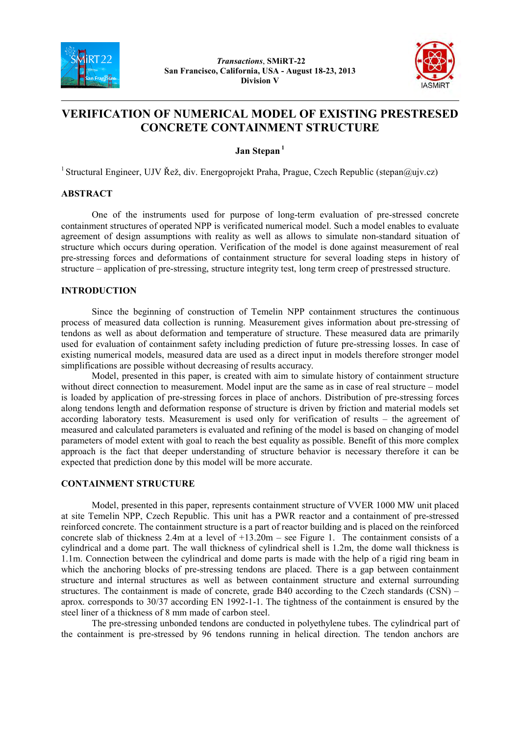



# **VERIFICATION OF NUMERICAL MODEL OF EXISTING PRESTRESED CONCRETE CONTAINMENT STRUCTURE**

**Jan Stepan<sup>1</sup>**

<sup>1</sup> Structural Engineer, UJV Řež, div. Energoprojekt Praha, Prague, Czech Republic (stepan@ujv.cz)

#### **ABSTRACT**

One of the instruments used for purpose of long-term evaluation of pre-stressed concrete containment structures of operated NPP is verificated numerical model. Such a model enables to evaluate agreement of design assumptions with reality as well as allows to simulate non-standard situation of structure which occurs during operation. Verification of the model is done against measurement of real pre-stressing forces and deformations of containment structure for several loading steps in history of structure – application of pre-stressing, structure integrity test, long term creep of prestressed structure.

### **INTRODUCTION**

Since the beginning of construction of Temelin NPP containment structures the continuous process of measured data collection is running. Measurement gives information about pre-stressing of tendons as well as about deformation and temperature of structure. These measured data are primarily used for evaluation of containment safety including prediction of future pre-stressing losses. In case of existing numerical models, measured data are used as a direct input in models therefore stronger model simplifications are possible without decreasing of results accuracy.

Model, presented in this paper, is created with aim to simulate history of containment structure without direct connection to measurement. Model input are the same as in case of real structure – model is loaded by application of pre-stressing forces in place of anchors. Distribution of pre-stressing forces along tendons length and deformation response of structure is driven by friction and material models set according laboratory tests. Measurement is used only for verification of results – the agreement of measured and calculated parameters is evaluated and refining of the model is based on changing of model parameters of model extent with goal to reach the best equality as possible. Benefit of this more complex approach is the fact that deeper understanding of structure behavior is necessary therefore it can be expected that prediction done by this model will be more accurate.

## **CONTAINMENT STRUCTURE**

Model, presented in this paper, represents containment structure of VVER 1000 MW unit placed at site Temelin NPP, Czech Republic. This unit has a PWR reactor and a containment of pre-stressed reinforced concrete. The containment structure is a part of reactor building and is placed on the reinforced concrete slab of thickness 2.4m at a level of +13.20m – see Figure 1. The containment consists of a cylindrical and a dome part. The wall thickness of cylindrical shell is 1.2m, the dome wall thickness is 1.1m. Connection between the cylindrical and dome parts is made with the help of a rigid ring beam in which the anchoring blocks of pre-stressing tendons are placed. There is a gap between containment structure and internal structures as well as between containment structure and external surrounding structures. The containment is made of concrete, grade B40 according to the Czech standards (CSN) – aprox. corresponds to 30/37 according EN 1992-1-1. The tightness of the containment is ensured by the steel liner of a thickness of 8 mm made of carbon steel.

The pre-stressing unbonded tendons are conducted in polyethylene tubes. The cylindrical part of the containment is pre-stressed by 96 tendons running in helical direction. The tendon anchors are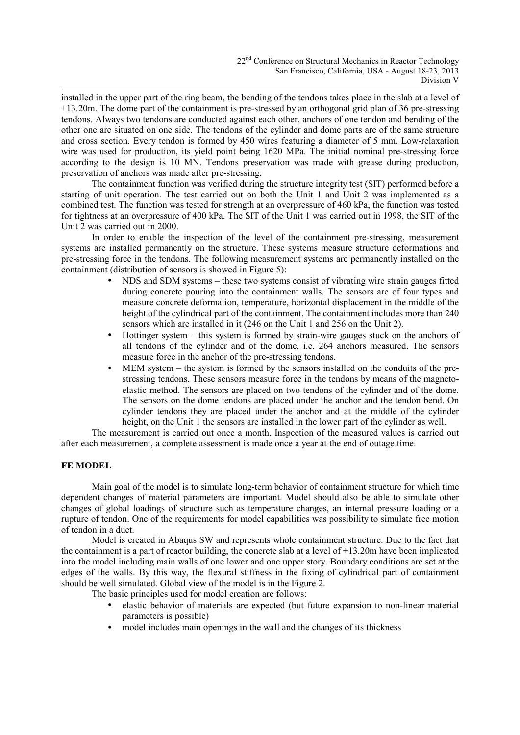installed in the upper part of the ring beam, the bending of the tendons takes place in the slab at a level of +13.20m. The dome part of the containment is pre-stressed by an orthogonal grid plan of 36 pre-stressing tendons. Always two tendons are conducted against each other, anchors of one tendon and bending of the other one are situated on one side. The tendons of the cylinder and dome parts are of the same structure and cross section. Every tendon is formed by 450 wires featuring a diameter of 5 mm. Low-relaxation wire was used for production, its yield point being 1620 MPa. The initial nominal pre-stressing force according to the design is 10 MN. Tendons preservation was made with grease during production, preservation of anchors was made after pre-stressing.

The containment function was verified during the structure integrity test (SIT) performed before a starting of unit operation. The test carried out on both the Unit 1 and Unit 2 was implemented as a combined test. The function was tested for strength at an overpressure of 460 kPa, the function was tested for tightness at an overpressure of 400 kPa. The SIT of the Unit 1 was carried out in 1998, the SIT of the Unit 2 was carried out in 2000.

In order to enable the inspection of the level of the containment pre-stressing, measurement systems are installed permanently on the structure. These systems measure structure deformations and pre-stressing force in the tendons. The following measurement systems are permanently installed on the containment (distribution of sensors is showed in Figure 5):

- NDS and SDM systems these two systems consist of vibrating wire strain gauges fitted during concrete pouring into the containment walls. The sensors are of four types and measure concrete deformation, temperature, horizontal displacement in the middle of the height of the cylindrical part of the containment. The containment includes more than 240 sensors which are installed in it (246 on the Unit 1 and 256 on the Unit 2).
- Hottinger system this system is formed by strain-wire gauges stuck on the anchors of all tendons of the cylinder and of the dome, i.e. 264 anchors measured. The sensors measure force in the anchor of the pre-stressing tendons.
- MEM system the system is formed by the sensors installed on the conduits of the prestressing tendons. These sensors measure force in the tendons by means of the magnetoelastic method. The sensors are placed on two tendons of the cylinder and of the dome. The sensors on the dome tendons are placed under the anchor and the tendon bend. On cylinder tendons they are placed under the anchor and at the middle of the cylinder height, on the Unit 1 the sensors are installed in the lower part of the cylinder as well.

The measurement is carried out once a month. Inspection of the measured values is carried out after each measurement, a complete assessment is made once a year at the end of outage time.

## **FE MODEL**

Main goal of the model is to simulate long-term behavior of containment structure for which time dependent changes of material parameters are important. Model should also be able to simulate other changes of global loadings of structure such as temperature changes, an internal pressure loading or a rupture of tendon. One of the requirements for model capabilities was possibility to simulate free motion of tendon in a duct.

Model is created in Abaqus SW and represents whole containment structure. Due to the fact that the containment is a part of reactor building, the concrete slab at a level of  $+13.20$ m have been implicated into the model including main walls of one lower and one upper story. Boundary conditions are set at the edges of the walls. By this way, the flexural stiffness in the fixing of cylindrical part of containment should be well simulated. Global view of the model is in the Figure 2.

The basic principles used for model creation are follows:

- elastic behavior of materials are expected (but future expansion to non-linear material parameters is possible)
- model includes main openings in the wall and the changes of its thickness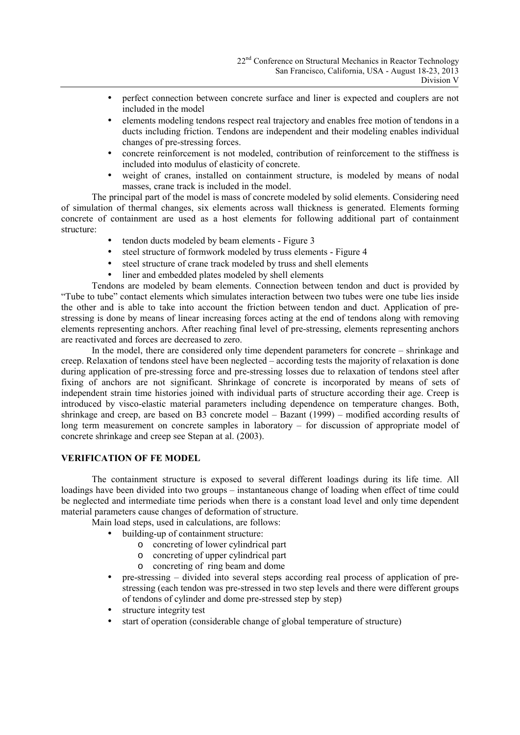- perfect connection between concrete surface and liner is expected and couplers are not included in the model
- elements modeling tendons respect real trajectory and enables free motion of tendons in a ducts including friction. Tendons are independent and their modeling enables individual changes of pre-stressing forces.
- concrete reinforcement is not modeled, contribution of reinforcement to the stiffness is included into modulus of elasticity of concrete.
- weight of cranes, installed on containment structure, is modeled by means of nodal masses, crane track is included in the model.

The principal part of the model is mass of concrete modeled by solid elements. Considering need of simulation of thermal changes, six elements across wall thickness is generated. Elements forming concrete of containment are used as a host elements for following additional part of containment structure:

- tendon ducts modeled by beam elements Figure 3
- steel structure of formwork modeled by truss elements Figure 4
- steel structure of crane track modeled by truss and shell elements
- liner and embedded plates modeled by shell elements

Tendons are modeled by beam elements. Connection between tendon and duct is provided by "Tube to tube" contact elements which simulates interaction between two tubes were one tube lies inside the other and is able to take into account the friction between tendon and duct. Application of prestressing is done by means of linear increasing forces acting at the end of tendons along with removing elements representing anchors. After reaching final level of pre-stressing, elements representing anchors are reactivated and forces are decreased to zero.

In the model, there are considered only time dependent parameters for concrete – shrinkage and creep. Relaxation of tendons steel have been neglected – according tests the majority of relaxation is done during application of pre-stressing force and pre-stressing losses due to relaxation of tendons steel after fixing of anchors are not significant. Shrinkage of concrete is incorporated by means of sets of independent strain time histories joined with individual parts of structure according their age. Creep is introduced by visco-elastic material parameters including dependence on temperature changes. Both, shrinkage and creep, are based on B3 concrete model – Bazant (1999) – modified according results of long term measurement on concrete samples in laboratory – for discussion of appropriate model of concrete shrinkage and creep see Stepan at al. (2003).

## **VERIFICATION OF FE MODEL**

The containment structure is exposed to several different loadings during its life time. All loadings have been divided into two groups – instantaneous change of loading when effect of time could be neglected and intermediate time periods when there is a constant load level and only time dependent material parameters cause changes of deformation of structure.

Main load steps, used in calculations, are follows:

- building-up of containment structure:
	- o concreting of lower cylindrical part
	- o concreting of upper cylindrical part
	- o concreting of ring beam and dome
- pre-stressing divided into several steps according real process of application of prestressing (each tendon was pre-stressed in two step levels and there were different groups of tendons of cylinder and dome pre-stressed step by step)
- structure integrity test
- start of operation (considerable change of global temperature of structure)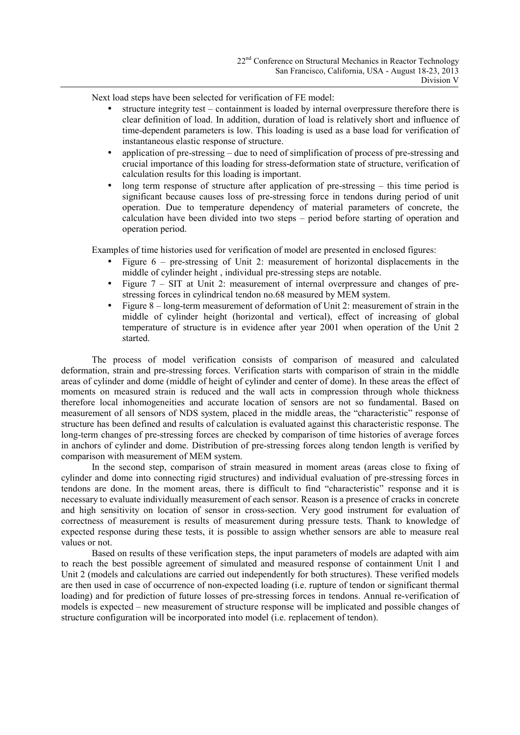Next load steps have been selected for verification of FE model:

- structure integrity test containment is loaded by internal overpressure therefore there is clear definition of load. In addition, duration of load is relatively short and influence of time-dependent parameters is low. This loading is used as a base load for verification of instantaneous elastic response of structure.
- application of pre-stressing due to need of simplification of process of pre-stressing and crucial importance of this loading for stress-deformation state of structure, verification of calculation results for this loading is important.
- long term response of structure after application of pre-stressing this time period is significant because causes loss of pre-stressing force in tendons during period of unit operation. Due to temperature dependency of material parameters of concrete, the calculation have been divided into two steps – period before starting of operation and operation period.

Examples of time histories used for verification of model are presented in enclosed figures:

- Figure 6 pre-stressing of Unit 2: measurement of horizontal displacements in the middle of cylinder height , individual pre-stressing steps are notable.
- Figure  $7 SIT$  at Unit 2: measurement of internal overpressure and changes of prestressing forces in cylindrical tendon no.68 measured by MEM system.
- Figure 8 long-term measurement of deformation of Unit 2: measurement of strain in the middle of cylinder height (horizontal and vertical), effect of increasing of global temperature of structure is in evidence after year 2001 when operation of the Unit 2 started.

The process of model verification consists of comparison of measured and calculated deformation, strain and pre-stressing forces. Verification starts with comparison of strain in the middle areas of cylinder and dome (middle of height of cylinder and center of dome). In these areas the effect of moments on measured strain is reduced and the wall acts in compression through whole thickness therefore local inhomogeneities and accurate location of sensors are not so fundamental. Based on measurement of all sensors of NDS system, placed in the middle areas, the "characteristic" response of structure has been defined and results of calculation is evaluated against this characteristic response. The long-term changes of pre-stressing forces are checked by comparison of time histories of average forces in anchors of cylinder and dome. Distribution of pre-stressing forces along tendon length is verified by comparison with measurement of MEM system.

In the second step, comparison of strain measured in moment areas (areas close to fixing of cylinder and dome into connecting rigid structures) and individual evaluation of pre-stressing forces in tendons are done. In the moment areas, there is difficult to find "characteristic" response and it is necessary to evaluate individually measurement of each sensor. Reason is a presence of cracks in concrete and high sensitivity on location of sensor in cross-section. Very good instrument for evaluation of correctness of measurement is results of measurement during pressure tests. Thank to knowledge of expected response during these tests, it is possible to assign whether sensors are able to measure real values or not.

Based on results of these verification steps, the input parameters of models are adapted with aim to reach the best possible agreement of simulated and measured response of containment Unit 1 and Unit 2 (models and calculations are carried out independently for both structures). These verified models are then used in case of occurrence of non-expected loading (i.e. rupture of tendon or significant thermal loading) and for prediction of future losses of pre-stressing forces in tendons. Annual re-verification of models is expected – new measurement of structure response will be implicated and possible changes of structure configuration will be incorporated into model (i.e. replacement of tendon).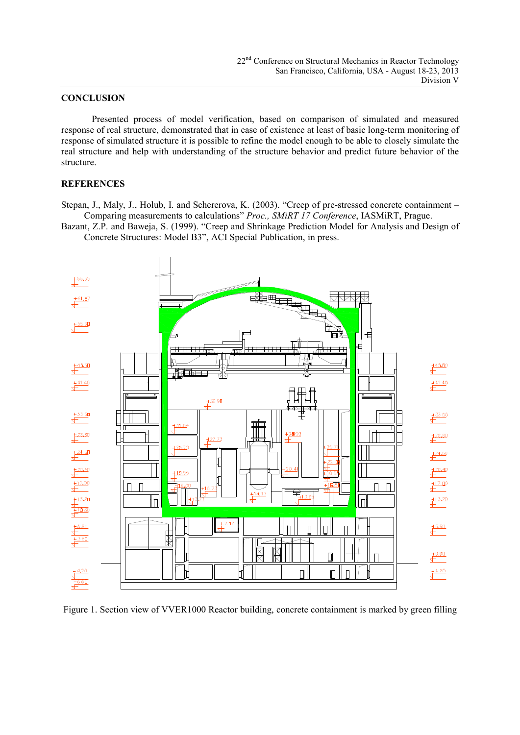#### **CONCLUSION**

Presented process of model verification, based on comparison of simulated and measured response of real structure, demonstrated that in case of existence at least of basic long-term monitoring of response of simulated structure it is possible to refine the model enough to be able to closely simulate the real structure and help with understanding of the structure behavior and predict future behavior of the structure.

#### **REFERENCES**

Stepan, J., Maly, J., Holub, I. and Schererova, K. (2003). "Creep of pre-stressed concrete containment – Comparing measurements to calculations" *Proc., SMiRT 17 Conference*, IASMiRT, Prague.

Bazant, Z.P. and Baweja, S. (1999). "Creep and Shrinkage Prediction Model for Analysis and Design of Concrete Structures: Model B3", ACI Special Publication, in press.



Figure 1. Section view of VVER1000 Reactor building, concrete containment is marked by green filling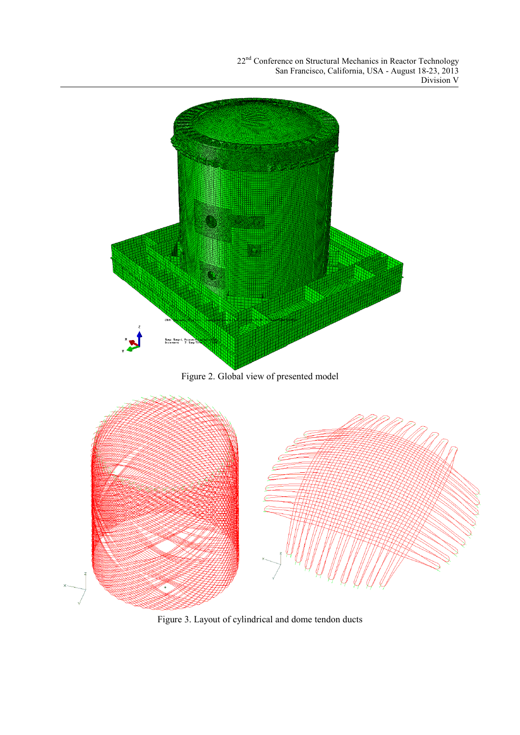

Figure 3. Layout of cylindrical and dome tendon ducts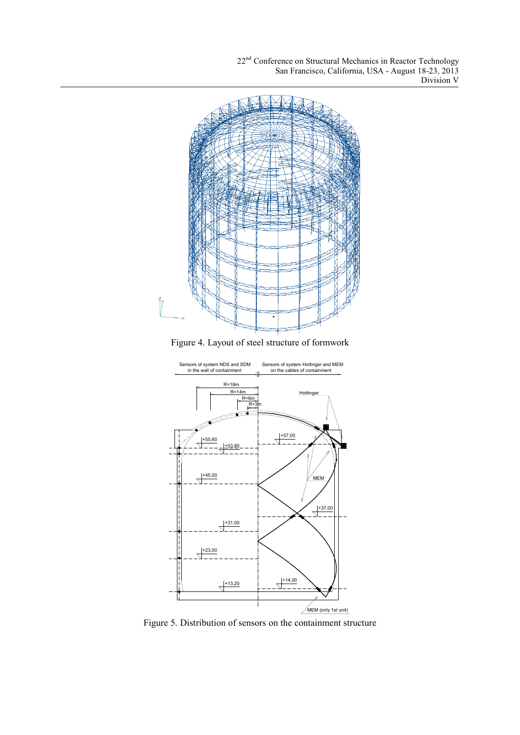

Figure 4. Layout of steel structure of formwork



Figure 5. Distribution of sensors on the containment structure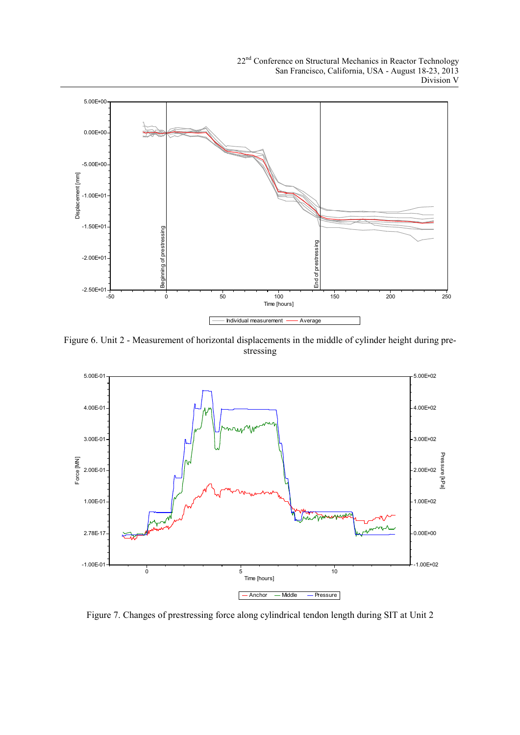

Figure 6. Unit 2 - Measurement of horizontal displacements in the middle of cylinder height during prestressing



Figure 7. Changes of prestressing force along cylindrical tendon length during SIT at Unit 2